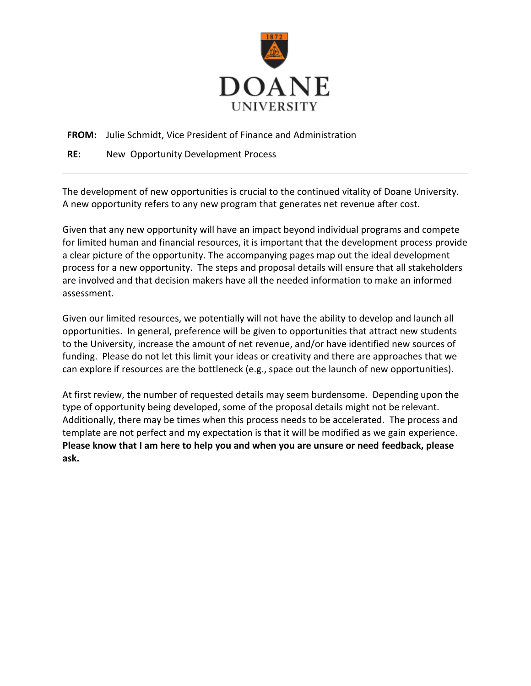

**FROM:** Julie Schmidt, Vice President of Finance and Administration

**RE:** New Opportunity Development Process

The development of new opportunities is crucial to the continued vitality of Doane University. A new opportunity refers to any new program that generates net revenue after cost.

Given that any new opportunity will have an impact beyond individual programs and compete for limited human and financial resources, it is important that the development process provide a clear picture of the opportunity. The accompanying pages map out the ideal development process for a new opportunity. The steps and proposal details will ensure that all stakeholders are involved and that decision makers have all the needed information to make an informed assessment.

Given our limited resources, we potentially will not have the ability to develop and launch all opportunities. In general, preference will be given to opportunities that attract new students to the University, increase the amount of net revenue, and/or have identified new sources of funding. Please do not let this limit your ideas or creativity and there are approaches that we can explore if resources are the bottleneck (e.g., space out the launch of new opportunities).

At first review, the number of requested details may seem burdensome. Depending upon the type of opportunity being developed, some of the proposal details might not be relevant. Additionally, there may be times when this process needs to be accelerated. The process and template are not perfect and my expectation is that it will be modified as we gain experience. **Please know that I am here to help you and when you are unsure or need feedback, please ask.**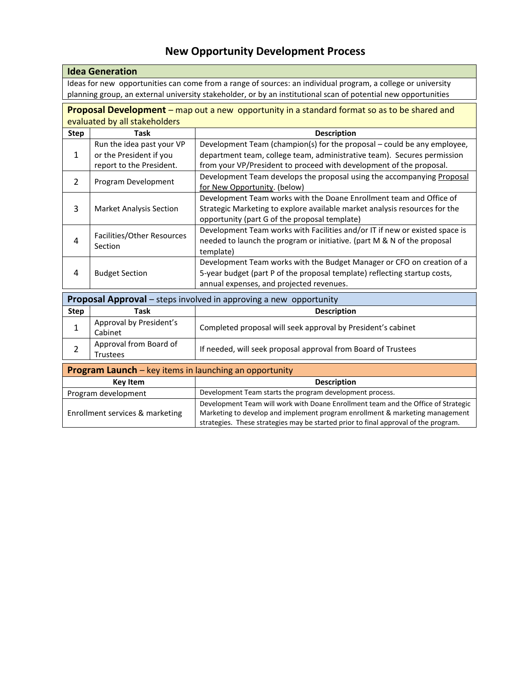# **New Opportunity Development Process**

|                                                                          | <b>Idea Generation</b>         |                                                                                                                |  |  |
|--------------------------------------------------------------------------|--------------------------------|----------------------------------------------------------------------------------------------------------------|--|--|
|                                                                          |                                | Ideas for new opportunities can come from a range of sources: an individual program, a college or university   |  |  |
|                                                                          |                                | planning group, an external university stakeholder, or by an institutional scan of potential new opportunities |  |  |
|                                                                          |                                | Proposal Development – map out a new opportunity in a standard format so as to be shared and                   |  |  |
|                                                                          | evaluated by all stakeholders  |                                                                                                                |  |  |
| <b>Step</b>                                                              | <b>Task</b>                    | <b>Description</b>                                                                                             |  |  |
|                                                                          | Run the idea past your VP      | Development Team (champion(s) for the proposal - could be any employee,                                        |  |  |
| 1                                                                        | or the President if you        | department team, college team, administrative team). Secures permission                                        |  |  |
|                                                                          | report to the President.       | from your VP/President to proceed with development of the proposal.                                            |  |  |
| 2                                                                        | Program Development            | Development Team develops the proposal using the accompanying Proposal                                         |  |  |
|                                                                          |                                | for New Opportunity. (below)                                                                                   |  |  |
|                                                                          |                                | Development Team works with the Doane Enrollment team and Office of                                            |  |  |
| 3                                                                        | <b>Market Analysis Section</b> | Strategic Marketing to explore available market analysis resources for the                                     |  |  |
|                                                                          |                                | opportunity (part G of the proposal template)                                                                  |  |  |
|                                                                          |                                | Development Team works with Facilities and/or IT if new or existed space is                                    |  |  |
| 4                                                                        | Facilities/Other Resources     | needed to launch the program or initiative. (part M & N of the proposal                                        |  |  |
|                                                                          | Section                        | template)                                                                                                      |  |  |
|                                                                          |                                | Development Team works with the Budget Manager or CFO on creation of a                                         |  |  |
| 4                                                                        | <b>Budget Section</b>          | 5-year budget (part P of the proposal template) reflecting startup costs,                                      |  |  |
|                                                                          |                                | annual expenses, and projected revenues.                                                                       |  |  |
|                                                                          |                                |                                                                                                                |  |  |
| <b>Proposal Approval</b> – steps involved in approving a new opportunity |                                |                                                                                                                |  |  |
| <b>Step</b>                                                              | <b>Task</b>                    | <b>Description</b>                                                                                             |  |  |
| 1                                                                        | Approval by President's        | Completed proposal will seek approval by President's cabinet                                                   |  |  |
|                                                                          | Cabinet                        |                                                                                                                |  |  |
| $\overline{2}$                                                           | Approval from Board of         | If needed, will seek proposal approval from Board of Trustees                                                  |  |  |
|                                                                          | <b>Trustees</b>                |                                                                                                                |  |  |
| <b>Program Launch</b> – key items in launching an opportunity            |                                |                                                                                                                |  |  |
| <b>Key Item</b>                                                          |                                | <b>Description</b>                                                                                             |  |  |
| Program development                                                      |                                | Development Team starts the program development process.                                                       |  |  |
|                                                                          |                                | Development Team will work with Doane Enrollment team and the Office of Strategic                              |  |  |
| Enrollment services & marketing                                          |                                | Marketing to develop and implement program enrollment & marketing management                                   |  |  |
|                                                                          |                                |                                                                                                                |  |  |

strategies. These strategies may be started prior to final approval of the program.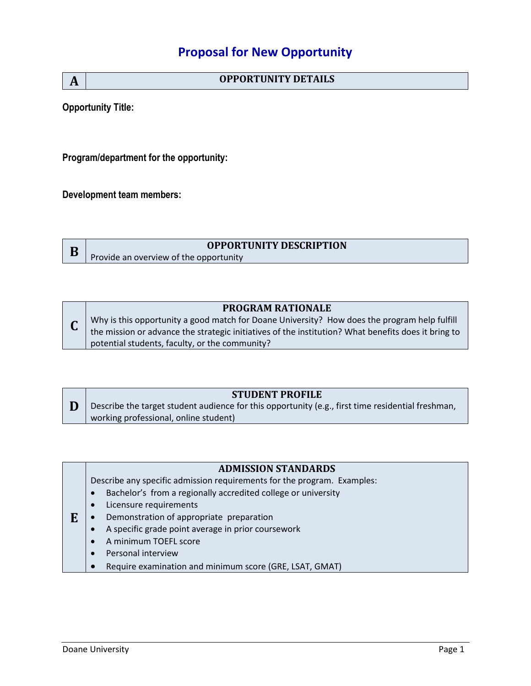## **Proposal for New Opportunity**

| A | <b>OPPORTUNITY DETAILS</b> |
|---|----------------------------|
|---|----------------------------|

**Opportunity Title:** 

**Program/department for the opportunity:**

**Development team members:**

|  | <b>OPPORTUNITY DESCRIPTION</b>         |
|--|----------------------------------------|
|  | Provide an overview of the opportunity |

#### **PROGRAM RATIONALE**

**C** Why is this opportunity a good match for Doane University? How does the program help fulfill the mission or advance the strategic initiatives of the institution? What benefits does it bring to potential students, faculty, or the community?

#### **STUDENT PROFILE**

**D** Describe the target student audience for this opportunity (e.g., first time residential freshman, working professional, online student)

Describe any specific admission requirements for the program. Examples:

- Bachelor's from a regionally accredited college or university
- Licensure requirements
- **E** Demonstration of appropriate preparation
	- A specific grade point average in prior coursework
	- A minimum TOEFL score
	- Personal interview
	- Require examination and minimum score (GRE, LSAT, GMAT)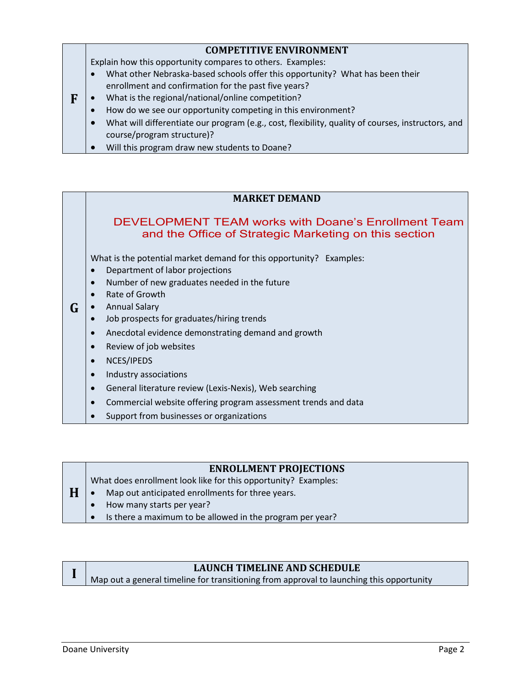#### **COMPETITIVE ENVIRONMENT**

Explain how this opportunity compares to others. Examples:

- What other Nebraska-based schools offer this opportunity? What has been their enrollment and confirmation for the past five years?
- **F** What is the regional/national/online competition?
	- How do we see our opportunity competing in this environment?
		- What will differentiate our program (e.g., cost, flexibility, quality of courses, instructors, and course/program structure)?
	- Will this program draw new students to Doane?

#### **MARKET DEMAND**

## DEVELOPMENT TEAM works with Doane's Enrollment Team and the Office of Strategic Marketing on this section

What is the potential market demand for this opportunity? Examples:

- Department of labor projections
- Number of new graduates needed in the future
- Rate of Growth
- **G** Annual Salary
	- Job prospects for graduates/hiring trends
	- Anecdotal evidence demonstrating demand and growth
	- Review of job websites
	- NCES/IPEDS
	- Industry associations
	- General literature review (Lexis-Nexis), Web searching
	- Commercial website offering program assessment trends and data
	- Support from businesses or organizations

#### **ENROLLMENT PROJECTIONS**

What does enrollment look like for this opportunity? Examples:

- **H** • Map out anticipated enrollments for three years.
	- How many starts per year?
	- Is there a maximum to be allowed in the program per year?

## **LAUNCH TIMELINE AND SCHEDULE**

Map out a general timeline for transitioning from approval to launching this opportunity

**I**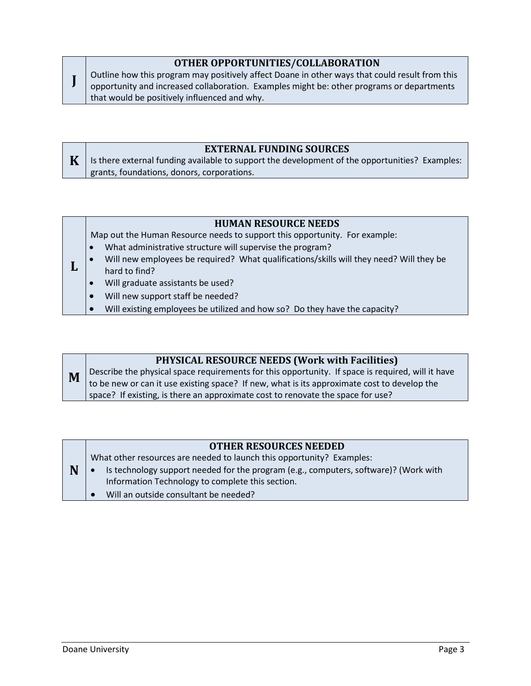#### **OTHER OPPORTUNITIES/COLLABORATION** Outline how this program may positively affect Doane in other ways that could result from this opportunity and increased collaboration. Examples might be: other programs or departments that would be positively influenced and why.

## **EXTERNAL FUNDING SOURCES**

**K** Is there external funding available to support the development of the opportunities? Examples: grants, foundations, donors, corporations.

## **HUMAN RESOURCE NEEDS**

Map out the Human Resource needs to support this opportunity. For example:

- What administrative structure will supervise the program?
- **L** Will new employees be required? What qualifications/skills will they need? Will they be hard to find?
	- Will graduate assistants be used?

**J**

- Will new support staff be needed?
- Will existing employees be utilized and how so? Do they have the capacity?

## **PHYSICAL RESOURCE NEEDS (Work with Facilities)**

**M** Describe the physical space requirements for this opportunity. If space is required, will it have to be new or can it use existing space? If new, what is its approximate cost to develop the space? If existing, is there an approximate cost to renovate the space for use?

## **OTHER RESOURCES NEEDED**

What other resources are needed to launch this opportunity? Examples:

- Is technology support needed for the program (e.g., computers, software)? (Work with Information Technology to complete this section.
	- Will an outside consultant be needed?

**N**